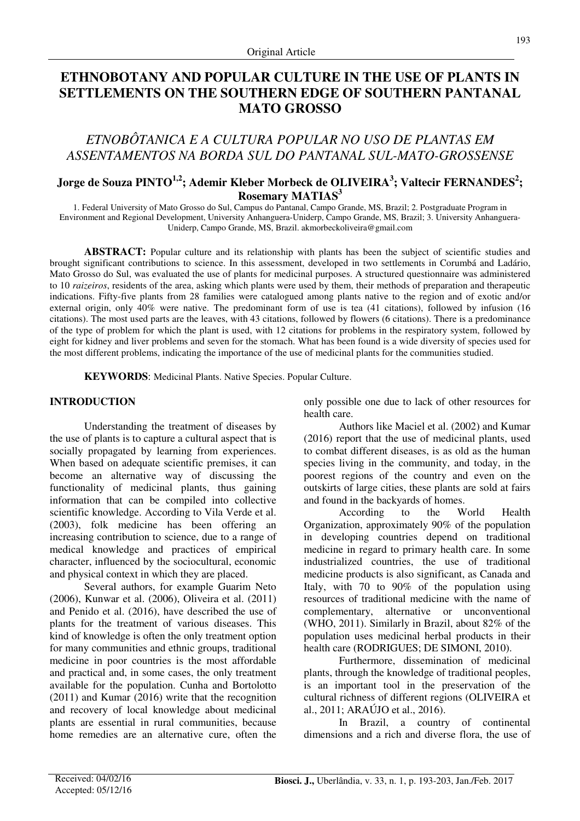# **ETHNOBOTANY AND POPULAR CULTURE IN THE USE OF PLANTS IN SETTLEMENTS ON THE SOUTHERN EDGE OF SOUTHERN PANTANAL MATO GROSSO**

## *ETNOBÔTANICA E A CULTURA POPULAR NO USO DE PLANTAS EM ASSENTAMENTOS NA BORDA SUL DO PANTANAL SUL-MATO-GROSSENSE*

## **Jorge de Souza PINTO1,2; Ademir Kleber Morbeck de OLIVEIRA<sup>3</sup> ; Valtecir FERNANDES<sup>2</sup> ; Rosemary MATIAS<sup>3</sup>**

1. Federal University of Mato Grosso do Sul, Campus do Pantanal, Campo Grande, MS, Brazil; 2. Postgraduate Program in Environment and Regional Development, University Anhanguera-Uniderp, Campo Grande, MS, Brazil; 3. University Anhanguera-Uniderp, Campo Grande, MS, Brazil. akmorbeckoliveira@gmail.com

**ABSTRACT:** Popular culture and its relationship with plants has been the subject of scientific studies and brought significant contributions to science. In this assessment, developed in two settlements in Corumbá and Ladário, Mato Grosso do Sul, was evaluated the use of plants for medicinal purposes. A structured questionnaire was administered to 10 *raizeiros*, residents of the area, asking which plants were used by them, their methods of preparation and therapeutic indications. Fifty-five plants from 28 families were catalogued among plants native to the region and of exotic and/or external origin, only 40% were native. The predominant form of use is tea (41 citations), followed by infusion (16 citations). The most used parts are the leaves, with 43 citations, followed by flowers (6 citations). There is a predominance of the type of problem for which the plant is used, with 12 citations for problems in the respiratory system, followed by eight for kidney and liver problems and seven for the stomach. What has been found is a wide diversity of species used for the most different problems, indicating the importance of the use of medicinal plants for the communities studied.

**KEYWORDS**: Medicinal Plants. Native Species. Popular Culture.

## **INTRODUCTION**

Understanding the treatment of diseases by the use of plants is to capture a cultural aspect that is socially propagated by learning from experiences. When based on adequate scientific premises, it can become an alternative way of discussing the functionality of medicinal plants, thus gaining information that can be compiled into collective scientific knowledge. According to Vila Verde et al. (2003), folk medicine has been offering an increasing contribution to science, due to a range of medical knowledge and practices of empirical character, influenced by the sociocultural, economic and physical context in which they are placed.

Several authors, for example Guarim Neto (2006), Kunwar et al. (2006), Oliveira et al. (2011) and Penido et al. (2016), have described the use of plants for the treatment of various diseases. This kind of knowledge is often the only treatment option for many communities and ethnic groups, traditional medicine in poor countries is the most affordable and practical and, in some cases, the only treatment available for the population. Cunha and Bortolotto (2011) and Kumar (2016) write that the recognition and recovery of local knowledge about medicinal plants are essential in rural communities, because home remedies are an alternative cure, often the only possible one due to lack of other resources for health care.

Authors like Maciel et al. (2002) and Kumar (2016) report that the use of medicinal plants, used to combat different diseases, is as old as the human species living in the community, and today, in the poorest regions of the country and even on the outskirts of large cities, these plants are sold at fairs and found in the backyards of homes.

According to the World Health Organization, approximately 90% of the population in developing countries depend on traditional medicine in regard to primary health care. In some industrialized countries, the use of traditional medicine products is also significant, as Canada and Italy, with 70 to 90% of the population using resources of traditional medicine with the name of complementary, alternative or unconventional (WHO, 2011). Similarly in Brazil, about 82% of the population uses medicinal herbal products in their health care (RODRIGUES; DE SIMONI, 2010).

Furthermore, dissemination of medicinal plants, through the knowledge of traditional peoples, is an important tool in the preservation of the cultural richness of different regions (OLIVEIRA et al., 2011; ARAÚJO et al., 2016).

In Brazil, a country of continental dimensions and a rich and diverse flora, the use of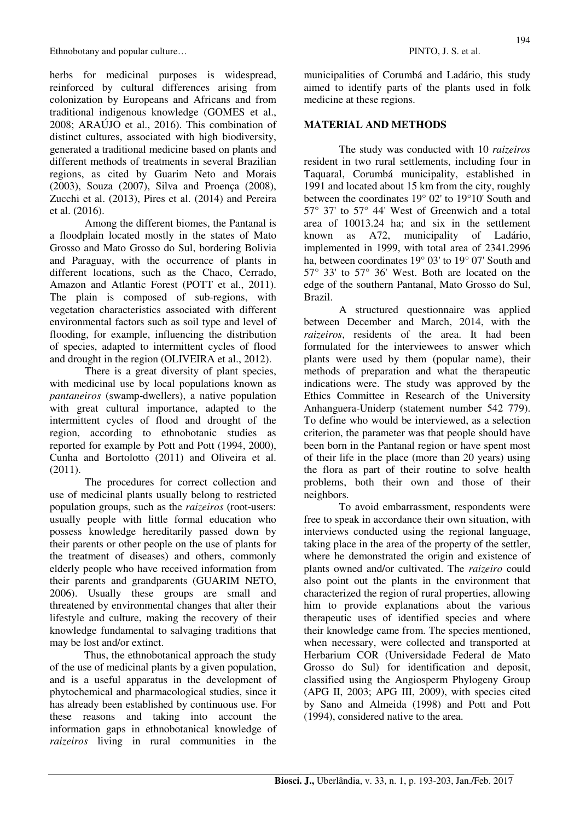herbs for medicinal purposes is widespread, reinforced by cultural differences arising from colonization by Europeans and Africans and from traditional indigenous knowledge (GOMES et al., 2008; ARAÚJO et al., 2016). This combination of distinct cultures, associated with high biodiversity, generated a traditional medicine based on plants and different methods of treatments in several Brazilian regions, as cited by Guarim Neto and Morais (2003), Souza (2007), Silva and Proença (2008), Zucchi et al. (2013), Pires et al. (2014) and Pereira et al. (2016).

Among the different biomes, the Pantanal is a floodplain located mostly in the states of Mato Grosso and Mato Grosso do Sul, bordering Bolivia and Paraguay, with the occurrence of plants in different locations, such as the Chaco, Cerrado, Amazon and Atlantic Forest (POTT et al., 2011). The plain is composed of sub-regions, with vegetation characteristics associated with different environmental factors such as soil type and level of flooding, for example, influencing the distribution of species, adapted to intermittent cycles of flood and drought in the region (OLIVEIRA et al., 2012).

There is a great diversity of plant species, with medicinal use by local populations known as *pantaneiros* (swamp-dwellers), a native population with great cultural importance, adapted to the intermittent cycles of flood and drought of the region, according to ethnobotanic studies as reported for example by Pott and Pott (1994, 2000), Cunha and Bortolotto (2011) and Oliveira et al. (2011).

The procedures for correct collection and use of medicinal plants usually belong to restricted population groups, such as the *raizeiros* (root-users: usually people with little formal education who possess knowledge hereditarily passed down by their parents or other people on the use of plants for the treatment of diseases) and others, commonly elderly people who have received information from their parents and grandparents (GUARIM NETO, 2006). Usually these groups are small and threatened by environmental changes that alter their lifestyle and culture, making the recovery of their knowledge fundamental to salvaging traditions that may be lost and/or extinct.

Thus, the ethnobotanical approach the study of the use of medicinal plants by a given population, and is a useful apparatus in the development of phytochemical and pharmacological studies, since it has already been established by continuous use. For these reasons and taking into account the information gaps in ethnobotanical knowledge of *raizeiros* living in rural communities in the municipalities of Corumbá and Ladário, this study aimed to identify parts of the plants used in folk medicine at these regions.

### **MATERIAL AND METHODS**

The study was conducted with 10 *raizeiros* resident in two rural settlements, including four in Taquaral, Corumbá municipality, established in 1991 and located about 15 km from the city, roughly between the coordinates 19° 02' to 19°10' South and 57° 37' to 57° 44' West of Greenwich and a total area of 10013.24 ha; and six in the settlement known as A72, municipality of Ladário, implemented in 1999, with total area of 2341.2996 ha, between coordinates 19° 03' to 19° 07' South and 57° 33' to 57° 36' West. Both are located on the edge of the southern Pantanal, Mato Grosso do Sul, Brazil.

A structured questionnaire was applied between December and March, 2014, with the *raizeiros*, residents of the area. It had been formulated for the interviewees to answer which plants were used by them (popular name), their methods of preparation and what the therapeutic indications were. The study was approved by the Ethics Committee in Research of the University Anhanguera-Uniderp (statement number 542 779). To define who would be interviewed, as a selection criterion, the parameter was that people should have been born in the Pantanal region or have spent most of their life in the place (more than 20 years) using the flora as part of their routine to solve health problems, both their own and those of their neighbors.

To avoid embarrassment, respondents were free to speak in accordance their own situation, with interviews conducted using the regional language, taking place in the area of the property of the settler, where he demonstrated the origin and existence of plants owned and/or cultivated. The *raizeiro* could also point out the plants in the environment that characterized the region of rural properties, allowing him to provide explanations about the various therapeutic uses of identified species and where their knowledge came from. The species mentioned, when necessary, were collected and transported at Herbarium COR (Universidade Federal de Mato Grosso do Sul) for identification and deposit, classified using the Angiosperm Phylogeny Group (APG II, 2003; APG III, 2009), with species cited by Sano and Almeida (1998) and Pott and Pott (1994), considered native to the area.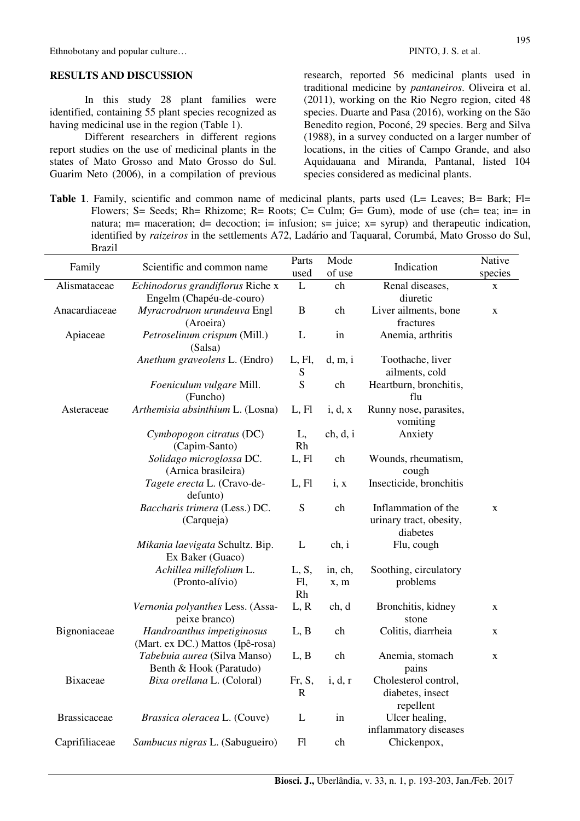#### **RESULTS AND DISCUSSION**

In this study 28 plant families were identified, containing 55 plant species recognized as having medicinal use in the region (Table 1).

Different researchers in different regions report studies on the use of medicinal plants in the states of Mato Grosso and Mato Grosso do Sul. Guarim Neto (2006), in a compilation of previous research, reported 56 medicinal plants used in traditional medicine by *pantaneiros*. Oliveira et al. (2011), working on the Rio Negro region, cited 48 species. Duarte and Pasa (2016), working on the São Benedito region, Poconé, 29 species. Berg and Silva (1988), in a survey conducted on a larger number of locations, in the cities of Campo Grande, and also Aquidauana and Miranda, Pantanal, listed 104 species considered as medicinal plants.

Table 1. Family, scientific and common name of medicinal plants, parts used (L= Leaves; B= Bark; Fl= Flowers; S= Seeds; Rh= Rhizome; R= Roots; C= Culm; G= Gum), mode of use (ch= tea; in= in natura; m= maceration; d= decoction; i= infusion; s= juice;  $x=$  syrup) and therapeutic indication, identified by *raizeiros* in the settlements A72, Ladário and Taquaral, Corumbá, Mato Grosso do Sul, Brazil

| Family              | Scientific and common name                                     | Parts<br>used         | Mode<br>of use  | Indication                                                 | Native<br>species |
|---------------------|----------------------------------------------------------------|-----------------------|-----------------|------------------------------------------------------------|-------------------|
| Alismataceae        | Echinodorus grandiflorus Riche x<br>Engelm (Chapéu-de-couro)   | L                     | ch              | Renal diseases,<br>diuretic                                | $\mathbf X$       |
| Anacardiaceae       | Myracrodruon urundeuva Engl<br>(Aroeira)                       | $\, {\bf B}$          | ch              | Liver ailments, bone<br>fractures                          | $\mathbf X$       |
| Apiaceae            | Petroselinum crispum (Mill.)<br>(Salsa)                        | L                     | in              | Anemia, arthritis                                          |                   |
|                     | Anethum graveolens L. (Endro)                                  | L, Fl,<br>${\bf S}$   | d, m, i         | Toothache, liver<br>ailments, cold                         |                   |
|                     | Foeniculum vulgare Mill.<br>(Funcho)                           | S                     | ch              | Heartburn, bronchitis,<br>flu                              |                   |
| Asteraceae          | Arthemisia absinthium L. (Losna)                               | L, Fl                 | i, d, x         | Runny nose, parasites,<br>vomiting                         |                   |
|                     | Cymbopogon citratus (DC)<br>(Capim-Santo)                      | L,<br>Rh              | ch, d, i        | Anxiety                                                    |                   |
|                     | Solidago microglossa DC.<br>(Arnica brasileira)                | L, Fl                 | ch              | Wounds, rheumatism,<br>cough                               |                   |
|                     | Tagete erecta L. (Cravo-de-<br>defunto)                        | L, Fl                 | i, x            | Insecticide, bronchitis                                    |                   |
|                     | Baccharis trimera (Less.) DC.<br>(Carqueja)                    | S                     | ch              | Inflammation of the<br>urinary tract, obesity,<br>diabetes | $\mathbf X$       |
|                     | Mikania laevigata Schultz. Bip.<br>Ex Baker (Guaco)            | L                     | ch, i           | Flu, cough                                                 |                   |
|                     | Achillea millefolium L.<br>(Pronto-alívio)                     | L, S,<br>Fl,<br>Rh    | in, ch,<br>x, m | Soothing, circulatory<br>problems                          |                   |
|                     | Vernonia polyanthes Less. (Assa-<br>peixe branco)              | L, R                  | ch, d           | Bronchitis, kidney<br>stone                                | X                 |
| Bignoniaceae        | Handroanthus impetiginosus<br>(Mart. ex DC.) Mattos (Ipê-rosa) | L, B                  | ch              | Colitis, diarrheia                                         | $\mathbf X$       |
|                     | Tabebuia aurea (Silva Manso)<br>Benth & Hook (Paratudo)        | L, B                  | ch              | Anemia, stomach<br>pains                                   | $\mathbf X$       |
| <b>Bixaceae</b>     | Bixa orellana L. (Coloral)                                     | Fr, S,<br>$\mathbf R$ | i, d, r         | Cholesterol control,<br>diabetes, insect<br>repellent      |                   |
| <b>Brassicaceae</b> | Brassica oleracea L. (Couve)                                   | L                     | in              | Ulcer healing,<br>inflammatory diseases                    |                   |
| Caprifiliaceae      | Sambucus nigras L. (Sabugueiro)                                | F1                    | ch              | Chickenpox,                                                |                   |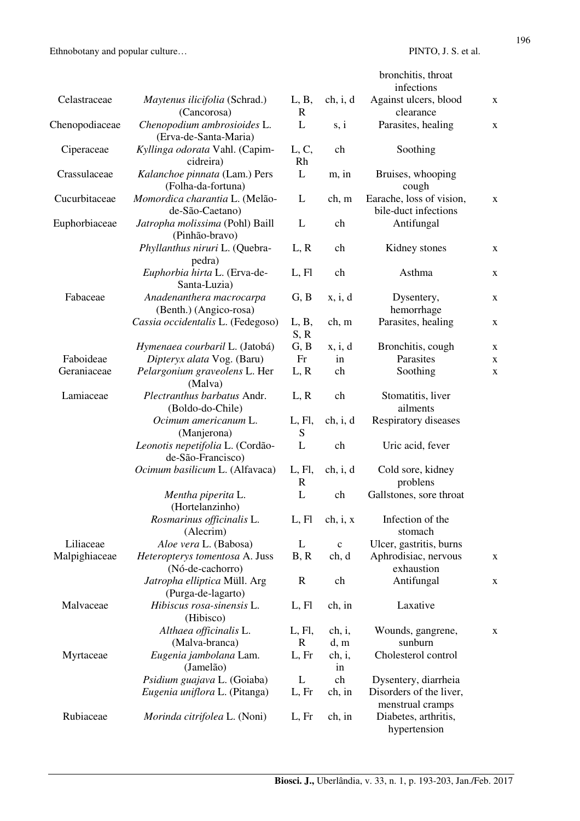|                |                                                       |                        |             | bronchitis, throat<br>infections                 |             |
|----------------|-------------------------------------------------------|------------------------|-------------|--------------------------------------------------|-------------|
| Celastraceae   | Maytenus ilicifolia (Schrad.)<br>(Cancorosa)          | L, B,<br>$\mathbf R$   | ch, i, d    | Against ulcers, blood<br>clearance               | X           |
| Chenopodiaceae | Chenopodium ambrosioides L.<br>(Erva-de-Santa-Maria)  | L                      | s, i        | Parasites, healing                               | X           |
| Ciperaceae     | Kyllinga odorata Vahl. (Capim-<br>cidreira)           | L, C,<br>Rh            | ch          | Soothing                                         |             |
| Crassulaceae   | Kalanchoe pinnata (Lam.) Pers<br>(Folha-da-fortuna)   | L                      | m, in       | Bruises, whooping<br>cough                       |             |
| Cucurbitaceae  | Momordica charantia L. (Melão-<br>de-São-Caetano)     | L                      | ch, m       | Earache, loss of vision,<br>bile-duct infections | X           |
| Euphorbiaceae  | Jatropha molissima (Pohl) Baill<br>(Pinhão-bravo)     | L                      | ch          | Antifungal                                       |             |
|                | Phyllanthus niruri L. (Quebra-<br>pedra)              | L, R                   | ch          | Kidney stones                                    | X           |
|                | Euphorbia hirta L. (Erva-de-<br>Santa-Luzia)          | L, Fl                  | ch          | Asthma                                           | X           |
| Fabaceae       | Anadenanthera macrocarpa<br>(Benth.) (Angico-rosa)    | G, B                   | x, i, d     | Dysentery,<br>hemorrhage                         | X           |
|                | Cassia occidentalis L. (Fedegoso)                     | L, B,<br>S, R          | ch, m       | Parasites, healing                               | X           |
|                | Hymenaea courbaril L. (Jatobá)                        | G, B                   | x, i, d     | Bronchitis, cough                                | $\mathbf X$ |
| Faboideae      | Dipteryx alata Vog. (Baru)                            | Fr                     | in          | Parasites                                        | X           |
| Geraniaceae    | Pelargonium graveolens L. Her<br>(Malva)              | L, R                   | ch          | Soothing                                         | X           |
| Lamiaceae      | Plectranthus barbatus Andr.<br>(Boldo-do-Chile)       | L, R                   | ch          | Stomatitis, liver<br>ailments                    |             |
|                | Ocimum americanum L.<br>(Manjerona)                   | L, Fl,<br>S            | ch, i, d    | Respiratory diseases                             |             |
|                | Leonotis nepetifolia L. (Cordão-<br>de-São-Francisco) | L                      | ch          | Uric acid, fever                                 |             |
|                | Ocimum basilicum L. (Alfavaca)                        | L, Fl,<br>$\mathbb{R}$ | ch, i, d    | Cold sore, kidney<br>problens                    |             |
|                | Mentha piperita L.<br>(Hortelanzinho)                 | L                      | ch          | Gallstones, sore throat                          |             |
|                | Rosmarinus officinalis L.<br>(Alecrim)                | L, Fl                  | ch, i, x    | Infection of the<br>stomach                      |             |
| Liliaceae      | Aloe vera L. (Babosa)                                 | L                      | $\mathbf c$ | Ulcer, gastritis, burns                          |             |
| Malpighiaceae  | Heteropterys tomentosa A. Juss<br>(Nó-de-cachorro)    | B, R                   | ch, d       | Aphrodisiac, nervous<br>exhaustion               | X           |
|                | Jatropha elliptica Müll. Arg<br>(Purga-de-lagarto)    | $\mathbb{R}$           | ch          | Antifungal                                       | X           |
| Malvaceae      | Hibiscus rosa-sinensis L.<br>(Hibisco)                | L, Fl                  | ch, in      | Laxative                                         |             |
|                | Althaea officinalis L.                                | L, Fl,                 | ch, i,      | Wounds, gangrene,                                | X           |
|                | (Malva-branca)                                        | $\mathbb{R}$           | d, m        | sunburn                                          |             |
| Myrtaceae      | Eugenia jambolana Lam.                                | L, Fr                  | ch, i,      | Cholesterol control                              |             |
|                | (Jamelão)                                             |                        | in          |                                                  |             |
|                | Psidium guajava L. (Goiaba)                           | L                      | ch          | Dysentery, diarrheia                             |             |
|                | Eugenia uniflora L. (Pitanga)                         | L, Fr                  | ch, in      | Disorders of the liver,<br>menstrual cramps      |             |
| Rubiaceae      | Morinda citrifolea L. (Noni)                          | L, Fr                  | ch, in      | Diabetes, arthritis,<br>hypertension             |             |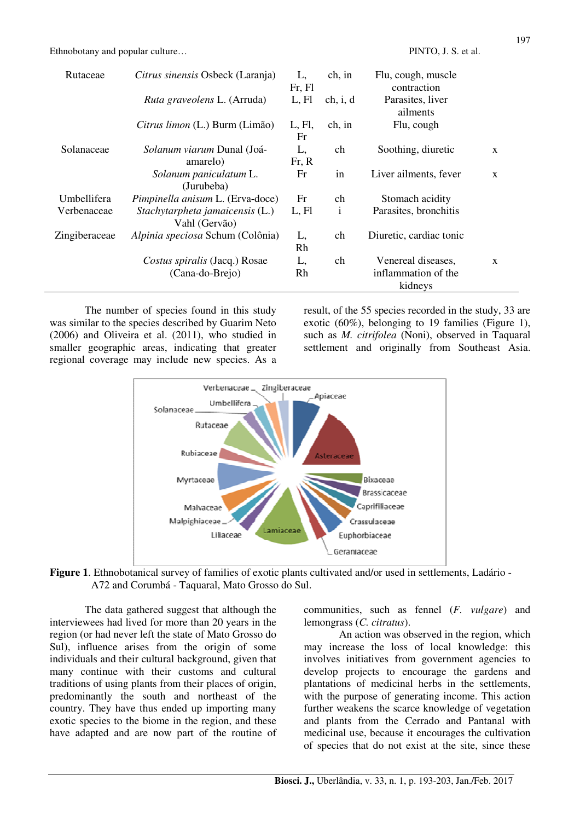| Rutaceae      | Citrus sinensis Osbeck (Laranja)                 | L,<br>Fr, Fl | ch, in       | Flu, cough, muscle<br>contraction |   |
|---------------|--------------------------------------------------|--------------|--------------|-----------------------------------|---|
|               | Ruta graveolens L. (Arruda)                      | L, Fl        | ch, i, d     | Parasites, liver<br>ailments      |   |
|               | Citrus limon (L.) Burm (Limão)                   | L, Fl,<br>Fr | ch, in       | Flu, cough                        |   |
| Solanaceae    | Solanum viarum Dunal (Joá-<br>amarelo)           | L,<br>Fr, R  | ch           | Soothing, diuretic                | X |
|               | Solanum paniculatum L.<br>(Jurubeba)             | Fr           | in           | Liver ailments, fever             | X |
| Umbellifera   | Pimpinella anisum L. (Erva-doce)                 | Fr           | ch           | Stomach acidity                   |   |
| Verbenaceae   | Stachytarpheta jamaicensis (L.)<br>Vahl (Gervão) | L, Fl        | $\mathbf{i}$ | Parasites, bronchitis             |   |
| Zingiberaceae | Alpinia speciosa Schum (Colônia)                 | L,<br>Rh     | ch           | Diuretic, cardiac tonic           |   |
|               | Costus spiralis (Jacq.) Rosae                    | L,           | ch           | Venereal diseases,                | X |
|               | (Cana-do-Brejo)                                  | Rh           |              | inflammation of the<br>kidneys    |   |

The number of species found in this study was similar to the species described by Guarim Neto (2006) and Oliveira et al. (2011), who studied in smaller geographic areas, indicating that greater regional coverage may include new species. As a result, of the 55 species recorded in the study, 33 are exotic (60%), belonging to 19 families (Figure 1), such as *M. citrifolea* (Noni), observed in Taquaral settlement and originally from Southeast Asia.



**Figure 1**. Ethnobotanical survey of families of exotic plants cultivated and/or used in settlements, Ladário - A72 and Corumbá - Taquaral, Mato Grosso do Sul.

The data gathered suggest that although the interviewees had lived for more than 20 years in the region (or had never left the state of Mato Grosso do Sul), influence arises from the origin of some individuals and their cultural background, given that many continue with their customs and cultural traditions of using plants from their places of origin, predominantly the south and northeast of the country. They have thus ended up importing many exotic species to the biome in the region, and these have adapted and are now part of the routine of communities, such as fennel (*F. vulgare*) and lemongrass (*C. citratus*).

An action was observed in the region, which may increase the loss of local knowledge: this involves initiatives from government agencies to develop projects to encourage the gardens and plantations of medicinal herbs in the settlements, with the purpose of generating income. This action further weakens the scarce knowledge of vegetation and plants from the Cerrado and Pantanal with medicinal use, because it encourages the cultivation of species that do not exist at the site, since these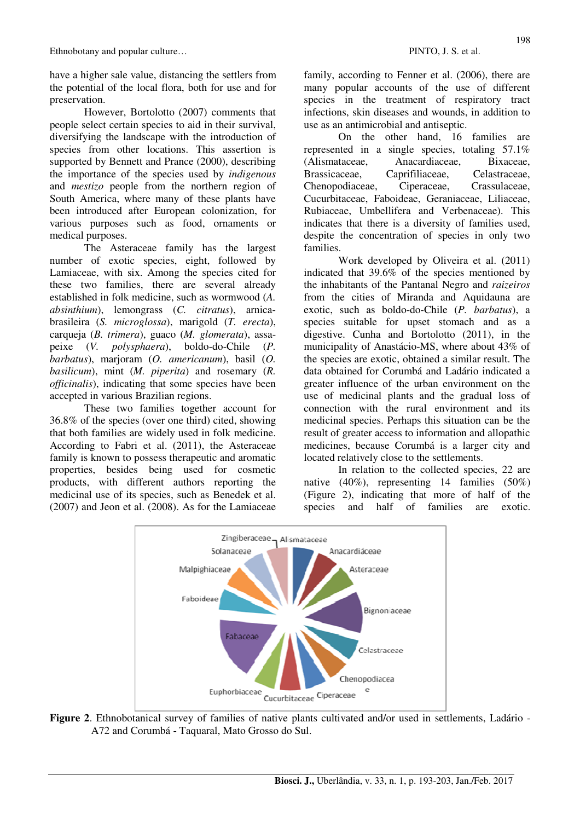have a higher sale value, distancing the settlers from the potential of the local flora, both for use and for preservation.

However, Bortolotto (2007) comments that people select certain species to aid in their survival, diversifying the landscape with the introduction of species from other locations. This assertion is supported by Bennett and Prance (2000), describing the importance of the species used by *indigenous* and *mestizo* people from the northern region of South America, where many of these plants have been introduced after European colonization, for various purposes such as food, ornaments or medical purposes.

The Asteraceae family has the largest number of exotic species, eight, followed by Lamiaceae, with six. Among the species cited for these two families, there are several already established in folk medicine, such as wormwood (*A. absinthium*), lemongrass (*C. citratus*), arnicabrasileira (*S. microglossa*), marigold (*T. erecta*), carqueja (*B. trimera*), guaco (*M. glomerata*), assapeixe (*V. polysphaera*), boldo-do-Chile (*P. barbatus*), marjoram (*O. americanum*), basil (*O. basilicum*), mint (*M. piperita*) and rosemary (*R. officinalis*), indicating that some species have been accepted in various Brazilian regions.

These two families together account for 36.8% of the species (over one third) cited, showing that both families are widely used in folk medicine. According to Fabri et al. (2011), the Asteraceae family is known to possess therapeutic and aromatic properties, besides being used for cosmetic products, with different authors reporting the medicinal use of its species, such as Benedek et al. (2007) and Jeon et al. (2008). As for the Lamiaceae family, according to Fenner et al. (2006), there are many popular accounts of the use of different species in the treatment of respiratory tract infections, skin diseases and wounds, in addition to use as an antimicrobial and antiseptic.

On the other hand, 16 families are represented in a single species, totaling 57.1% (Alismataceae, Anacardiaceae, Bixaceae, Brassicaceae, Caprifiliaceae, Celastraceae, Chenopodiaceae, Ciperaceae, Crassulaceae, Cucurbitaceae, Faboideae, Geraniaceae, Liliaceae, Rubiaceae, Umbellifera and Verbenaceae). This indicates that there is a diversity of families used, despite the concentration of species in only two families.

Work developed by Oliveira et al. (2011) indicated that  $39.6\%$  of the species mentioned by the inhabitants of the Pantanal Negro and *raizeiros* from the cities of Miranda and Aquidauna are exotic, such as boldo-do-Chile (*P. barbatus*), a species suitable for upset stomach and as a digestive. Cunha and Bortolotto (2011), in the municipality of Anastácio-MS, where about 43% of the species are exotic, obtained a similar result. The data obtained for Corumbá and Ladário indicated a greater influence of the urban environment on the use of medicinal plants and the gradual loss of connection with the rural environment and its medicinal species. Perhaps this situation can be the result of greater access to information and allopathic medicines, because Corumbá is a larger city and located relatively close to the settlements.

 In relation to the collected species, 22 are native (40%), representing 14 families (50%) (Figure 2), indicating that more of half of the species and half of families are exotic.



**Figure 2**. Ethnobotanical survey of families of native plants cultivated and/or used in settlements, Ladário - A72 and Corumbá - Taquaral, Mato Grosso do Sul.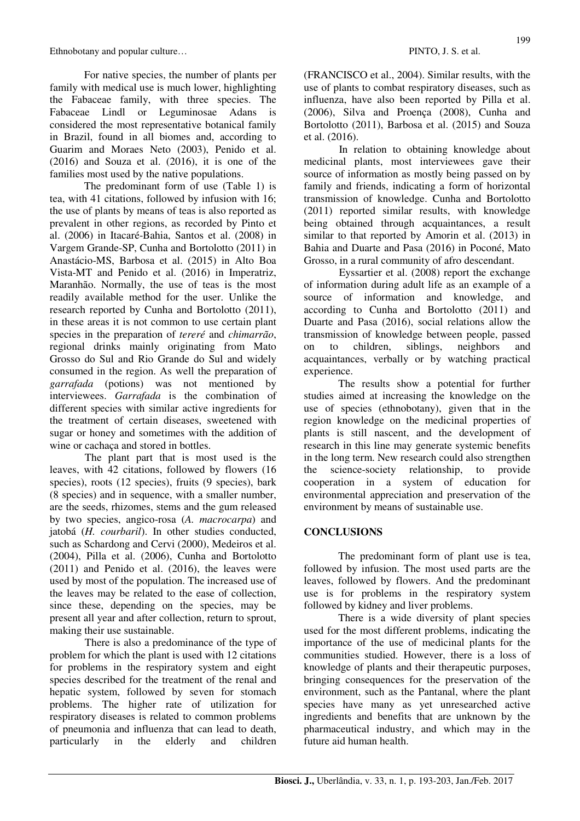For native species, the number of plants per family with medical use is much lower, highlighting the Fabaceae family, with three species. The Fabaceae Lindl or Leguminosae Adans is considered the most representative botanical family in Brazil, found in all biomes and, according to Guarim and Moraes Neto (2003), Penido et al. (2016) and Souza et al. (2016), it is one of the families most used by the native populations.

The predominant form of use (Table 1) is tea, with 41 citations, followed by infusion with 16; the use of plants by means of teas is also reported as prevalent in other regions, as recorded by Pinto et al. (2006) in Itacaré-Bahia, Santos et al. (2008) in Vargem Grande-SP, Cunha and Bortolotto (2011) in Anastácio-MS, Barbosa et al. (2015) in Alto Boa Vista-MT and Penido et al. (2016) in Imperatriz, Maranhão. Normally, the use of teas is the most readily available method for the user. Unlike the research reported by Cunha and Bortolotto (2011), in these areas it is not common to use certain plant species in the preparation of *tereré* and *chimarrão*, regional drinks mainly originating from Mato Grosso do Sul and Rio Grande do Sul and widely consumed in the region. As well the preparation of *garrafada* (potions) was not mentioned by interviewees. *Garrafada* is the combination of different species with similar active ingredients for the treatment of certain diseases, sweetened with sugar or honey and sometimes with the addition of wine or cachaça and stored in bottles.

The plant part that is most used is the leaves, with 42 citations, followed by flowers (16 species), roots (12 species), fruits (9 species), bark (8 species) and in sequence, with a smaller number, are the seeds, rhizomes, stems and the gum released by two species, angico-rosa (*A. macrocarpa*) and jatobá (*H. courbaril*). In other studies conducted, such as Schardong and Cervi (2000), Medeiros et al. (2004), Pilla et al. (2006), Cunha and Bortolotto (2011) and Penido et al. (2016), the leaves were used by most of the population. The increased use of the leaves may be related to the ease of collection, since these, depending on the species, may be present all year and after collection, return to sprout, making their use sustainable.

There is also a predominance of the type of problem for which the plant is used with 12 citations for problems in the respiratory system and eight species described for the treatment of the renal and hepatic system, followed by seven for stomach problems. The higher rate of utilization for respiratory diseases is related to common problems of pneumonia and influenza that can lead to death, particularly in the elderly and children (FRANCISCO et al., 2004). Similar results, with the use of plants to combat respiratory diseases, such as influenza, have also been reported by Pilla et al. (2006), Silva and Proença (2008), Cunha and Bortolotto (2011), Barbosa et al. (2015) and Souza et al. (2016).

In relation to obtaining knowledge about medicinal plants, most interviewees gave their source of information as mostly being passed on by family and friends, indicating a form of horizontal transmission of knowledge. Cunha and Bortolotto (2011) reported similar results, with knowledge being obtained through acquaintances, a result similar to that reported by Amorin et al. (2013) in Bahia and Duarte and Pasa (2016) in Poconé, Mato Grosso, in a rural community of afro descendant.

Eyssartier et al. (2008) report the exchange of information during adult life as an example of a source of information and knowledge, and according to Cunha and Bortolotto (2011) and Duarte and Pasa (2016), social relations allow the transmission of knowledge between people, passed on to children, siblings, neighbors and acquaintances, verbally or by watching practical experience.

 The results show a potential for further studies aimed at increasing the knowledge on the use of species (ethnobotany), given that in the region knowledge on the medicinal properties of plants is still nascent, and the development of research in this line may generate systemic benefits in the long term. New research could also strengthen the science-society relationship, to provide cooperation in a system of education for environmental appreciation and preservation of the environment by means of sustainable use.

## **CONCLUSIONS**

The predominant form of plant use is tea, followed by infusion. The most used parts are the leaves, followed by flowers. And the predominant use is for problems in the respiratory system followed by kidney and liver problems.

There is a wide diversity of plant species used for the most different problems, indicating the importance of the use of medicinal plants for the communities studied. However, there is a loss of knowledge of plants and their therapeutic purposes, bringing consequences for the preservation of the environment, such as the Pantanal, where the plant species have many as yet unresearched active ingredients and benefits that are unknown by the pharmaceutical industry, and which may in the future aid human health.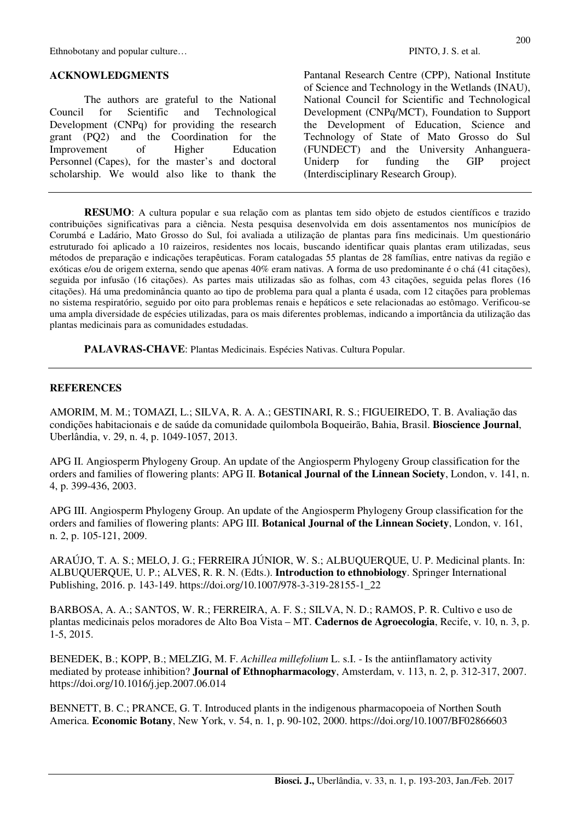Ethnobotany and popular culture…  $\blacksquare$  PINTO, J. S. et al.

#### **ACKNOWLEDGMENTS**

The authors are grateful to the National Council for Scientific and Technological Development (CNPq) for providing the research grant (PQ2) and the Coordination for the Improvement of Higher Education Personnel (Capes), for the master's and doctoral scholarship. We would also like to thank the Pantanal Research Centre (CPP), National Institute of Science and Technology in the Wetlands (INAU), National Council for Scientific and Technological Development (CNPq/MCT), Foundation to Support the Development of Education, Science and Technology of State of Mato Grosso do Sul (FUNDECT) and the University Anhanguera-Uniderp for funding the GIP project (Interdisciplinary Research Group).

**RESUMO**: A cultura popular e sua relação com as plantas tem sido objeto de estudos científicos e trazido contribuições significativas para a ciência. Nesta pesquisa desenvolvida em dois assentamentos nos municípios de Corumbá e Ladário, Mato Grosso do Sul, foi avaliada a utilização de plantas para fins medicinais. Um questionário estruturado foi aplicado a 10 raizeiros, residentes nos locais, buscando identificar quais plantas eram utilizadas, seus métodos de preparação e indicações terapêuticas. Foram catalogadas 55 plantas de 28 famílias, entre nativas da região e exóticas e/ou de origem externa, sendo que apenas 40% eram nativas. A forma de uso predominante é o chá (41 citações), seguida por infusão (16 citações). As partes mais utilizadas são as folhas, com 43 citações, seguida pelas flores (16 citações). Há uma predominância quanto ao tipo de problema para qual a planta é usada, com 12 citações para problemas no sistema respiratório, seguido por oito para problemas renais e hepáticos e sete relacionadas ao estômago. Verificou-se uma ampla diversidade de espécies utilizadas, para os mais diferentes problemas, indicando a importância da utilização das plantas medicinais para as comunidades estudadas.

**PALAVRAS-CHAVE**: Plantas Medicinais. Espécies Nativas. Cultura Popular.

#### **REFERENCES**

AMORIM, M. M.; TOMAZI, L.; SILVA, R. A. A.; GESTINARI, R. S.; FIGUEIREDO, T. B. Avaliação das condições habitacionais e de saúde da comunidade quilombola Boqueirão, Bahia, Brasil. **Bioscience Journal**, Uberlândia, v. 29, n. 4, p. 1049-1057, 2013.

APG II. Angiosperm Phylogeny Group. An update of the Angiosperm Phylogeny Group classification for the orders and families of flowering plants: APG II. **Botanical Journal of the Linnean Society**, London, v. 141, n. 4, p. 399-436, 2003.

APG III. Angiosperm Phylogeny Group. An update of the Angiosperm Phylogeny Group classification for the orders and families of flowering plants: APG III. **Botanical Journal of the Linnean Society**, London, v. 161, n. 2, p. 105-121, 2009.

ARAÚJO, T. A. S.; MELO, J. G.; FERREIRA JÚNIOR, W. S.; ALBUQUERQUE, U. P. Medicinal plants. In: ALBUQUERQUE, U. P.; ALVES, R. R. N. (Edts.). **Introduction to ethnobiology**. Springer International Publishing, 2016. p. 143-149. https://doi.org/10.1007/978-3-319-28155-1\_22

BARBOSA, A. A.; SANTOS, W. R.; FERREIRA, A. F. S.; SILVA, N. D.; RAMOS, P. R. Cultivo e uso de plantas medicinais pelos moradores de Alto Boa Vista – MT. **Cadernos de Agroecologia**, Recife, v. 10, n. 3, p. 1-5, 2015.

BENEDEK, B.; KOPP, B.; MELZIG, M. F. *Achillea millefolium* L. s.I. - Is the antiinflamatory activity mediated by protease inhibition? **Journal of Ethnopharmacology**, Amsterdam, v. 113, n. 2, p. 312-317, 2007. https://doi.org/10.1016/j.jep.2007.06.014

BENNETT, B. C.; PRANCE, G. T. Introduced plants in the indigenous pharmacopoeia of Northen South America. **Economic Botany**, New York, v. 54, n. 1, p. 90-102, 2000. https://doi.org/10.1007/BF02866603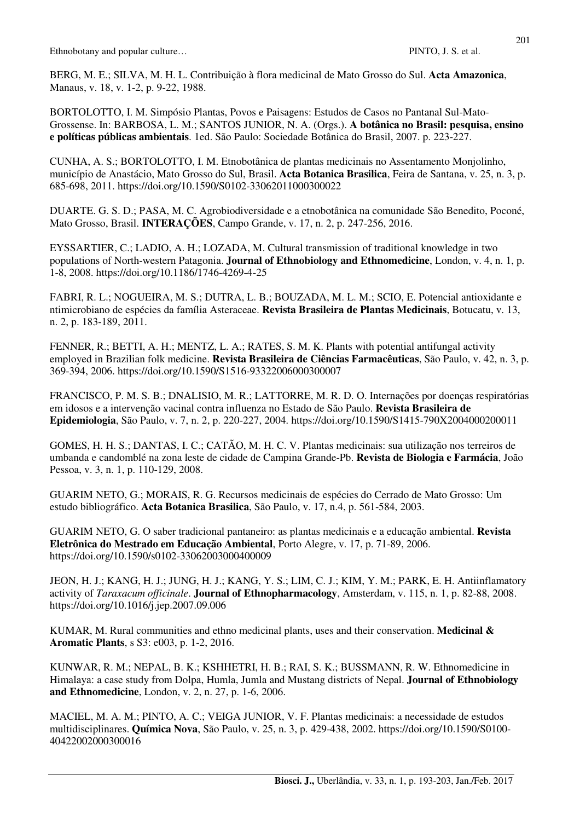BERG, M. E.; SILVA, M. H. L. Contribuição à flora medicinal de Mato Grosso do Sul. **Acta Amazonica**, Manaus, v. 18, v. 1-2, p. 9-22, 1988.

BORTOLOTTO, I. M. Simpósio Plantas, Povos e Paisagens: Estudos de Casos no Pantanal Sul-Mato-Grossense. In: BARBOSA, L. M.; SANTOS JUNIOR, N. A. (Orgs.). **A botânica no Brasil: pesquisa, ensino e políticas públicas ambientais**. 1ed. São Paulo: Sociedade Botânica do Brasil, 2007. p. 223-227.

CUNHA, A. S.; BORTOLOTTO, I. M. Etnobotânica de plantas medicinais no Assentamento Monjolinho, município de Anastácio, Mato Grosso do Sul, Brasil. **Acta Botanica Brasilica**, Feira de Santana, v. 25, n. 3, p. 685-698, 2011. https://doi.org/10.1590/S0102-33062011000300022

DUARTE. G. S. D.; PASA, M. C. Agrobiodiversidade e a etnobotânica na comunidade São Benedito, Poconé, Mato Grosso, Brasil. **INTERAÇÕES**, Campo Grande, v. 17, n. 2, p. 247-256, 2016.

EYSSARTIER, C.; LADIO, A. H.; LOZADA, M. Cultural transmission of traditional knowledge in two populations of North-western Patagonia. **Journal of Ethnobiology and Ethnomedicine**, London, v. 4, n. 1, p. 1-8, 2008. https://doi.org/10.1186/1746-4269-4-25

FABRI, R. L.; NOGUEIRA, M. S.; DUTRA, L. B.; BOUZADA, M. L. M.; SCIO, E. Potencial antioxidante e ntimicrobiano de espécies da família Asteraceae. **Revista Brasileira de Plantas Medicinais**, Botucatu, v. 13, n. 2, p. 183-189, 2011.

FENNER, R.; BETTI, A. H.; MENTZ, L. A.; RATES, S. M. K. Plants with potential antifungal activity employed in Brazilian folk medicine. **Revista Brasileira de Ciências Farmacêuticas**, São Paulo, v. 42, n. 3, p. 369-394, 2006. https://doi.org/10.1590/S1516-93322006000300007

FRANCISCO, P. M. S. B.; DNALISIO, M. R.; LATTORRE, M. R. D. O. Internações por doenças respiratórias em idosos e a intervenção vacinal contra influenza no Estado de São Paulo. **Revista Brasileira de Epidemiologia**, São Paulo, v. 7, n. 2, p. 220-227, 2004. https://doi.org/10.1590/S1415-790X2004000200011

GOMES, H. H. S.; DANTAS, I. C.; CATÃO, M. H. C. V. Plantas medicinais: sua utilização nos terreiros de umbanda e candomblé na zona leste de cidade de Campina Grande-Pb. **Revista de Biologia e Farmácia**, João Pessoa, v. 3, n. 1, p. 110-129, 2008.

GUARIM NETO, G.; MORAIS, R. G. Recursos medicinais de espécies do Cerrado de Mato Grosso: Um estudo bibliográfico. **Acta Botanica Brasilica**, São Paulo, v. 17, n.4, p. 561-584, 2003.

GUARIM NETO, G. O saber tradicional pantaneiro: as plantas medicinais e a educação ambiental. **Revista Eletrônica do Mestrado em Educação Ambiental**, Porto Alegre, v. 17, p. 71-89, 2006. https://doi.org/10.1590/s0102-33062003000400009

JEON, H. J.; KANG, H. J.; JUNG, H. J.; KANG, Y. S.; LIM, C. J.; KIM, Y. M.; PARK, E. H. Antiinflamatory activity of *Taraxacum officinale*. **Journal of Ethnopharmacology**, Amsterdam, v. 115, n. 1, p. 82-88, 2008. https://doi.org/10.1016/j.jep.2007.09.006

KUMAR, M. Rural communities and ethno medicinal plants, uses and their conservation. **Medicinal & Aromatic Plants**, s S3: e003, p. 1-2, 2016.

KUNWAR, R. M.; NEPAL, B. K.; KSHHETRI, H. B.; RAI, S. K.; BUSSMANN, R. W. Ethnomedicine in Himalaya: a case study from Dolpa, Humla, Jumla and Mustang districts of Nepal. **Journal of Ethnobiology and Ethnomedicine**, London, v. 2, n. 27, p. 1-6, 2006.

MACIEL, M. A. M.; PINTO, A. C.; VEIGA JUNIOR, V. F. Plantas medicinais: a necessidade de estudos multidisciplinares. **Química Nova**, São Paulo, v. 25, n. 3, p. 429-438, 2002. https://doi.org/10.1590/S0100- 40422002000300016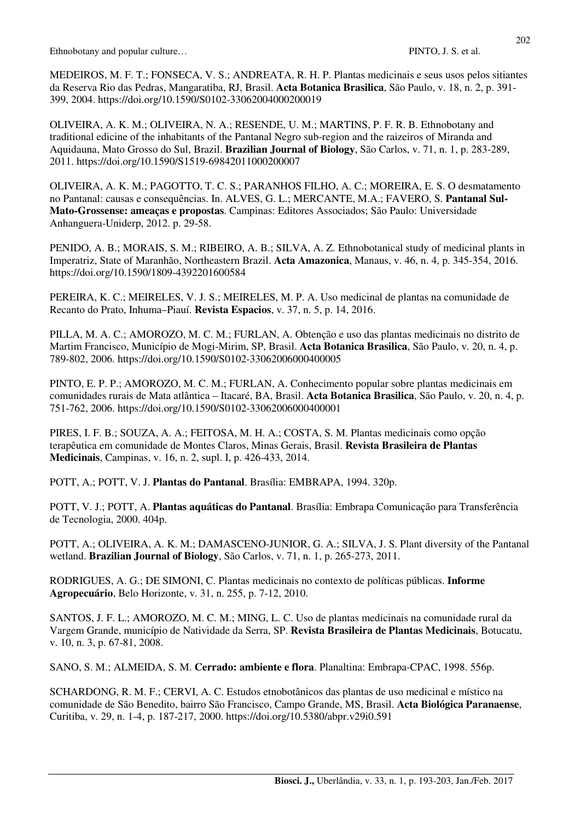Ethnobotany and popular culture…  $\blacksquare$  PINTO, J. S. et al.

MEDEIROS, M. F. T.; FONSECA, V. S.; ANDREATA, R. H. P. Plantas medicinais e seus usos pelos sitiantes da Reserva Rio das Pedras, Mangaratiba, RJ, Brasil. **Acta Botanica Brasilica**, São Paulo, v. 18, n. 2, p. 391- 399, 2004. https://doi.org/10.1590/S0102-33062004000200019

OLIVEIRA, A. K. M.; OLIVEIRA, N. A.; RESENDE, U. M.; MARTINS, P. F. R. B. Ethnobotany and traditional edicine of the inhabitants of the Pantanal Negro sub-region and the raizeiros of Miranda and Aquidauna, Mato Grosso do Sul, Brazil. **Brazilian Journal of Biology**, São Carlos, v. 71, n. 1, p. 283-289, 2011. https://doi.org/10.1590/S1519-69842011000200007

OLIVEIRA, A. K. M.; PAGOTTO, T. C. S.; PARANHOS FILHO, A. C.; MOREIRA, E. S. O desmatamento no Pantanal: causas e consequências. In. ALVES, G. L.; MERCANTE, M.A.; FAVERO, S. **Pantanal Sul-Mato-Grossense: ameaças e propostas**. Campinas: Editores Associados; São Paulo: Universidade Anhanguera-Uniderp, 2012. p. 29-58.

PENIDO, A. B.; MORAIS, S. M.; RIBEIRO, A. B.; SILVA, A. Z. Ethnobotanical study of medicinal plants in Imperatriz, State of Maranhão, Northeastern Brazil. **Acta Amazonica**, Manaus, v. 46, n. 4, p. 345-354, 2016. https://doi.org/10.1590/1809-4392201600584

PEREIRA, K. C.; MEIRELES, V. J. S.; MEIRELES, M. P. A. Uso medicinal de plantas na comunidade de Recanto do Prato, Inhuma–Piauí. **Revista Espacios**, v. 37, n. 5, p. 14, 2016.

PILLA, M. A. C.; AMOROZO, M. C. M.; FURLAN, A. Obtenção e uso das plantas medicinais no distrito de Martim Francisco, Município de Mogi-Mirim, SP, Brasil. **Acta Botanica Brasilica**, São Paulo, v. 20, n. 4, p. 789-802, 2006. https://doi.org/10.1590/S0102-33062006000400005

PINTO, E. P. P.; AMOROZO, M. C. M.; FURLAN, A. Conhecimento popular sobre plantas medicinais em comunidades rurais de Mata atlântica – Itacaré, BA, Brasil. **Acta Botanica Brasilica**, São Paulo, v. 20, n. 4, p. 751-762, 2006. https://doi.org/10.1590/S0102-33062006000400001

PIRES, I. F. B.; SOUZA, A. A.; FEITOSA, M. H. A.; COSTA, S. M. Plantas medicinais como opção terapêutica em comunidade de Montes Claros, Minas Gerais, Brasil. **Revista Brasileira de Plantas Medicinais**, Campinas, v. 16, n. 2, supl. I, p. 426-433, 2014.

POTT, A.; POTT, V. J. **Plantas do Pantanal**. Brasília: EMBRAPA, 1994. 320p.

POTT, V. J.; POTT, A. **Plantas aquáticas do Pantanal**. Brasília: Embrapa Comunicação para Transferência de Tecnologia, 2000. 404p.

POTT, A.; OLIVEIRA, A. K. M.; DAMASCENO-JUNIOR, G. A.; SILVA, J. S. Plant diversity of the Pantanal wetland. **Brazilian Journal of Biology**, São Carlos, v. 71, n. 1, p. 265-273, 2011.

RODRIGUES, A. G.; DE SIMONI, C. Plantas medicinais no contexto de políticas públicas. **Informe Agropecuário**, Belo Horizonte, v. 31, n. 255, p. 7-12, 2010.

SANTOS, J. F. L.; AMOROZO, M. C. M.; MING, L. C. Uso de plantas medicinais na comunidade rural da Vargem Grande, município de Natividade da Serra, SP. **Revista Brasileira de Plantas Medicinais**, Botucatu, v. 10, n. 3, p. 67-81, 2008.

SANO, S. M.; ALMEIDA, S. M. **Cerrado: ambiente e flora**. Planaltina: Embrapa-CPAC, 1998. 556p.

SCHARDONG, R. M. F.; CERVI, A. C. Estudos etnobotânicos das plantas de uso medicinal e místico na comunidade de São Benedito, bairro São Francisco, Campo Grande, MS, Brasil. **Acta Biológica Paranaense**, Curitiba, v. 29, n. 1-4, p. 187-217, 2000. https://doi.org/10.5380/abpr.v29i0.591